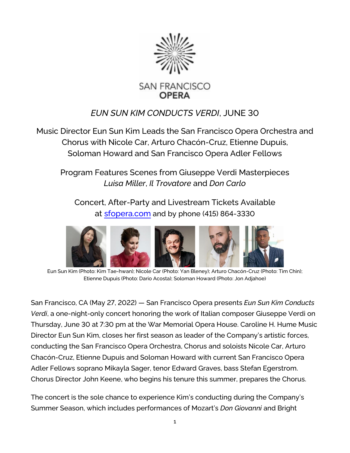

## *EUN SUN KIM CONDUCTS VERDI*, JUNE 30

Music Director Eun Sun Kim Leads the San Francisco Opera Orchestra and Chorus with Nicole Car, Arturo Chacón-Cruz, Etienne Dupuis, Soloman Howard and San Francisco Opera Adler Fellows

Program Features Scenes from Giuseppe Verdi Masterpieces *Luisa Miller*, *Il Trovatore* and *Don Carlo*

Concert, After-Party and Livestream Tickets Available at [sfopera.com](https://www.sfopera.com/) and by phone (415) 864-3330



Eun Sun Kim (Photo: Kim Tae-hwan); Nicole Car (Photo: Yan Bleney); Arturo Chacón-Cruz (Photo: Tim Chin); Etienne Dupuis (Photo: Dario Acosta); Soloman Howard (Photo: Jon Adjahoe)

San Francisco, CA (May 27, 2022) — San Francisco Opera presents *Eun Sun Kim Conducts Verdi*, a one-night-only concert honoring the work of Italian composer Giuseppe Verdi on Thursday, June 30 at 7:30 pm at the War Memorial Opera House. Caroline H. Hume Music Director Eun Sun Kim, closes her first season as leader of the Company's artistic forces, conducting the San Francisco Opera Orchestra, Chorus and soloists Nicole Car, Arturo Chacón-Cruz, Etienne Dupuis and Soloman Howard with current San Francisco Opera Adler Fellows soprano Mikayla Sager, tenor Edward Graves, bass Stefan Egerstrom. Chorus Director John Keene, who begins his tenure this summer, prepares the Chorus.

The concert is the sole chance to experience Kim's conducting during the Company's Summer Season, which includes performances of Mozart's *Don Giovanni* and Bright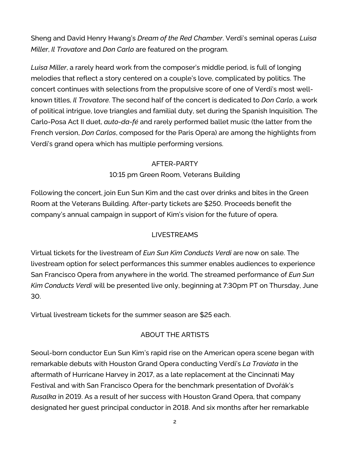Sheng and David Henry Hwang's *Dream of the Red Chamber*. Verdi's seminal operas *Luisa Miller*, *Il Trovatore* and *Don Carlo* are featured on the program.

*Luisa Miller*, a rarely heard work from the composer's middle period, is full of longing melodies that reflect a story centered on a couple's love, complicated by politics. The concert continues with selections from the propulsive score of one of Verdi's most wellknown titles, *Il Trovatore*. The second half of the concert is dedicated to *Don Carlo*, a work of political intrigue, love triangles and familial duty, set during the Spanish Inquisition. The Carlo-Posa Act II duet, *auto-da-fé* and rarely performed ballet music (the latter from the French version, *Don Carlos*, composed for the Paris Opera) are among the highlights from Verdi's grand opera which has multiple performing versions.

#### AFTER-PARTY

10:15 pm Green Room, Veterans Building

Following the concert, join Eun Sun Kim and the cast over drinks and bites in the Green Room at the Veterans Building. After-party tickets are \$250. Proceeds benefit the company's annual campaign in support of Kim's vision for the future of opera.

#### LIVESTREAMS

Virtual tickets for the livestream of *Eun Sun Kim Conducts Verdi* are now on sale. The livestream option for select performances this summer enables audiences to experience San Francisco Opera from anywhere in the world. The streamed performance of *Eun Sun Kim Conducts Verdi* will be presented live only, beginning at 7:30pm PT on Thursday, June 30.

Virtual livestream tickets for the summer season are \$25 each.

### ABOUT THE ARTISTS

Seoul-born conductor Eun Sun Kim's rapid rise on the American opera scene began with remarkable debuts with Houston Grand Opera conducting Verdi's *La Traviata* in the aftermath of Hurricane Harvey in 2017, as a late replacement at the Cincinnati May Festival and with San Francisco Opera for the benchmark presentation of Dvořák's *Rusalka* in 2019. As a result of her success with Houston Grand Opera, that company designated her guest principal conductor in 2018. And six months after her remarkable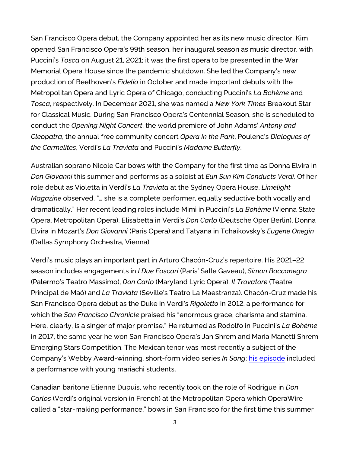San Francisco Opera debut, the Company appointed her as its new music director. Kim opened San Francisco Opera's 99th season, her inaugural season as music director, with Puccini's *Tosca* on August 21, 2021; it was the first opera to be presented in the War Memorial Opera House since the pandemic shutdown. She led the Company's new production of Beethoven's *Fidelio* in October and made important debuts with the Metropolitan Opera and Lyric Opera of Chicago, conducting Puccini's *La Bohème* and *Tosca*, respectively. In December 2021, she was named a *New York Times* Breakout Star for Classical Music. During San Francisco Opera's Centennial Season, she is scheduled to conduct the *Opening Night Concert*, the world premiere of John Adams' *Antony and Cleopatra*, the annual free community concert *Opera in the Park*, Poulenc's *Dialogues of the Carmelites*, Verdi's *La Traviata* and Puccini's *Madame Butterfly*.

Australian soprano Nicole Car bows with the Company for the first time as Donna Elvira in *Don Giovanni* this summer and performs as a soloist at *Eun Sun Kim Conducts Verdi*. Of her role debut as Violetta in Verdi's *La Traviata* at the Sydney Opera House, *Limelight Magazine* observed, "… she is a complete performer, equally seductive both vocally and dramatically." Her recent leading roles include Mimì in Puccini's *La Bohème* (Vienna State Opera, Metropolitan Opera), Elisabetta in Verdi's *Don Carlo* (Deutsche Oper Berlin), Donna Elvira in Mozart's *Don Giovanni* (Paris Opera) and Tatyana in Tchaikovsky's *Eugene Onegin*  (Dallas Symphony Orchestra, Vienna).

Verdi's music plays an important part in Arturo Chacón-Cruz's repertoire. His 2021–22 season includes engagements in *I Due Foscari* (Paris' Salle Gaveau), *Simon Boccanegra*  (Palermo's Teatro Massimo), *Don Carlo* (Maryland Lyric Opera), *Il Trovatore* (Teatre Principal de Maó) and *La Traviata* (Seville's Teatro La Maestranza). Chacón-Cruz made his San Francisco Opera debut as the Duke in Verdi's *Rigoletto* in 2012, a performance for which the *San Francisco Chronicle* praised his "enormous grace, charisma and stamina. Here, clearly, is a singer of major promise." He returned as Rodolfo in Puccini's *La Bohème*  in 2017, the same year he won San Francisco Opera's Jan Shrem and Maria Manetti Shrem Emerging Stars Competition. The Mexican tenor was most recently a subject of the Company's Webby Award-winning, short-form video series *In Song*; [his episode](https://www.sfopera.com/online/in-song/arturo-chacon-cruz) included a performance with young mariachi students.

Canadian baritone Etienne Dupuis, who recently took on the role of Rodrigue in *Don Carlos* (Verdi's original version in French) at the Metropolitan Opera which OperaWire called a "star-making performance," bows in San Francisco for the first time this summer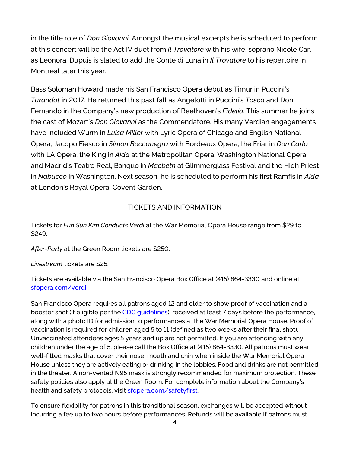in the title role of *Don Giovanni*. Amongst the musical excerpts he is scheduled to perform at this concert will be the Act IV duet from *Il Trovatore* with his wife, soprano Nicole Car, as Leonora. Dupuis is slated to add the Conte di Luna in *Il Trovatore* to his repertoire in Montreal later this year.

Bass Soloman Howard made his San Francisco Opera debut as Timur in Puccini's *Turandot* in 2017. He returned this past fall as Angelotti in Puccini's *Tosca* and Don Fernando in the Company's new production of Beethoven's *Fidelio*. This summer he joins the cast of Mozart's *Don Giovanni* as the Commendatore. His many Verdian engagements have included Wurm in *Luisa Miller* with Lyric Opera of Chicago and English National Opera, Jacopo Fiesco in *Simon Boccanegra* with Bordeaux Opera, the Friar in *Don Carlo*  with LA Opera, the King in *Aida* at the Metropolitan Opera, Washington National Opera and Madrid's Teatro Real, Banquo in *Macbeth* at Glimmerglass Festival and the High Priest in *Nabucco* in Washington. Next season, he is scheduled to perform his first Ramfis in *Aida*  at London's Royal Opera, Covent Garden.

#### TICKETS AND INFORMATION

Tickets for *Eun Sun Kim Conducts Verdi* at the War Memorial Opera House range from \$29 to \$249.

*After-Party* at the Green Room tickets are \$250.

*Livestream* tickets are \$25.

Tickets are available via the San Francisco Opera Box Office at (415) 864-3330 and online at [sfopera.com/verdi.](https://www.sfopera.com/verdi)

San Francisco Opera requires all patrons aged 12 and older to show proof of vaccination and a booster shot (if eligible per the [CDC guidelines\)](https://www.cdc.gov/coronavirus/2019-ncov/vaccines/booster-shot.html), received at least 7 days before the performance, along with a photo ID for admission to performances at the War Memorial Opera House. Proof of vaccination is required for children aged 5 to 11 (defined as two weeks after their final shot). Unvaccinated attendees ages 5 years and up are not permitted. If you are attending with any children under the age of 5, please call the Box Office at (415) 864-3330. All patrons must wear well-fitted masks that cover their nose, mouth and chin when inside the War Memorial Opera House unless they are actively eating or drinking in the lobbies. Food and drinks are not permitted in the theater. A non-vented N95 mask is strongly recommended for maximum protection. These safety policies also apply at the Green Room. For complete information about the Company's health and safety protocols, visit [sfopera.com/safetyfirst.](http://www.sfopera.com/safetyfirst)

To ensure flexibility for patrons in this transitional season, exchanges will be accepted without incurring a fee up to two hours before performances. Refunds will be available if patrons must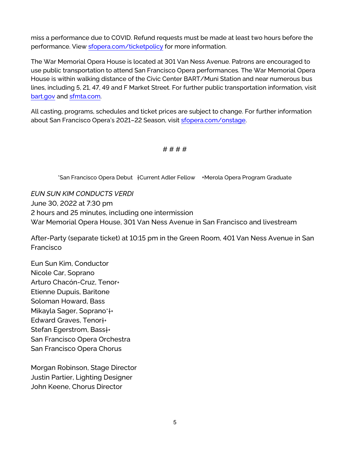miss a performance due to COVID. Refund requests must be made at least two hours before the performance. View [sfopera.com/ticketpolicy](https://www.sfopera.com/ticketpolicy) for more information.

The War Memorial Opera House is located at 301 Van Ness Avenue. Patrons are encouraged to use public transportation to attend San Francisco Opera performances. The War Memorial Opera House is within walking distance of the Civic Center BART/Muni Station and near numerous bus lines, including 5, 21, 47, 49 and F Market Street. For further public transportation information, visit [bart.gov](https://www.bart.gov/) and [sfmta.com.](https://www.sfmta.com/)

All casting, programs, schedules and ticket prices are subject to change. For further information about San Francisco Opera's 2021–22 Season, visi[t sfopera.com/onstage.](https://sfopera.com/on-stage/)

#### # # # #

\*San Francisco Opera Debut †Current Adler Fellow +Merola Opera Program Graduate

*EUN SUN KIM CONDUCTS VERDI* June 30, 2022 at 7:30 pm 2 hours and 25 minutes, including one intermission War Memorial Opera House, 301 Van Ness Avenue in San Francisco and livestream

After-Party (separate ticket) at 10:15 pm in the Green Room, 401 Van Ness Avenue in San Francisco

Eun Sun Kim, Conductor Nicole Car, Soprano Arturo Chacón-Cruz, Tenor+ Etienne Dupuis, Baritone Soloman Howard, Bass Mikayla Sager, Soprano\*†+ Edward Graves, Tenor†+ Stefan Egerstrom, Bass†+ San Francisco Opera Orchestra San Francisco Opera Chorus

Morgan Robinson, Stage Director Justin Partier, Lighting Designer John Keene, Chorus Director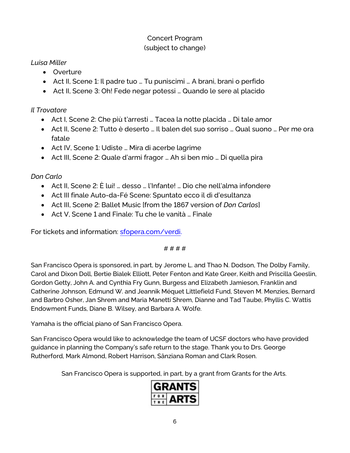#### Concert Program (subject to change)

#### *Luisa Miller*

- Overture
- Act II, Scene 1: Il padre tuo … Tu puniscimi … A brani, brani o perfido
- Act II, Scene 3: Oh! Fede negar potessi … Quando le sere al placido

### *Il Trovatore*

- Act I, Scene 2: Che più t'arresti … Tacea la notte placida … Di tale amor
- Act II, Scene 2: Tutto è deserto … Il balen del suo sorriso … Qual suono … Per me ora fatale
- Act IV, Scene 1: Udiste … Mira di acerbe lagrime
- Act III, Scene 2: Quale d'armi fragor … Ah si ben mio … Di quella pira

#### *Don Carlo*

- Act II, Scene 2: È lui! … desso … l'Infante! … Dio che nell'alma infondere
- Act III finale Auto-da-Fé Scene: Spuntato ecco il dì d'esultanza
- Act III, Scene 2: Ballet Music [from the 1867 version of *Don Carlos*]
- Act V, Scene 1 and Finale: Tu che le vanità … Finale

For tickets and information: [sfopera.com/verdi.](https://www.sfopera.com/verdi)

#### # # # #

San Francisco Opera is sponsored, in part, by Jerome L. and Thao N. Dodson, The Dolby Family, Carol and Dixon Doll, Bertie Bialek Elliott, Peter Fenton and Kate Greer, Keith and Priscilla Geeslin, Gordon Getty, John A. and Cynthia Fry Gunn, Burgess and Elizabeth Jamieson, Franklin and Catherine Johnson, Edmund W. and Jeannik Méquet Littlefield Fund, Steven M. Menzies, Bernard and Barbro Osher, Jan Shrem and Maria Manetti Shrem, Dianne and Tad Taube, Phyllis C. Wattis Endowment Funds, Diane B. Wilsey, and Barbara A. Wolfe.

Yamaha is the official piano of San Francisco Opera.

San Francisco Opera would like to acknowledge the team of UCSF doctors who have provided guidance in planning the Company's safe return to the stage. Thank you to Drs. George Rutherford, Mark Almond, Robert Harrison, Sânziana Roman and Clark Rosen.

San Francisco Opera is supported, in part, by a grant from Grants for the Arts.